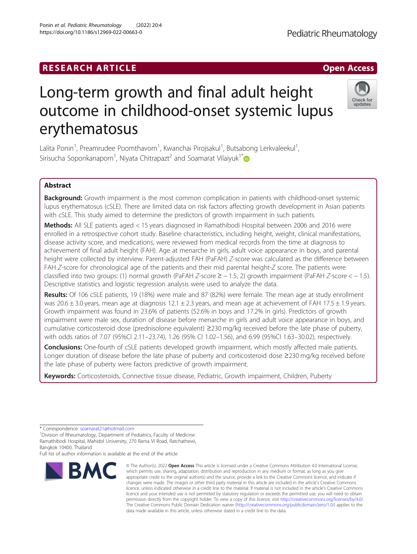## **RESEARCH ARTICLE Example 2018 12:00 Department 2018 12:00 Department 2018 12:00 Department 2018 12:00 Department 2018 12:00 Department 2018 12:00 Department 2018 12:00 Department 2018 12:00 Department 2018 12:00 Departm**

# Long-term growth and final adult height outcome in childhood-onset systemic lupus erythematosus

Lalita Ponin<sup>1</sup>, Preamrudee Poomthavorn<sup>1</sup>, Kwanchai Pirojsakul<sup>1</sup>, Butsabong Lerkvaleekul<sup>1</sup> , Sirisucha Soponkanaporn $^1$ , Niyata Chitrapazt $^2$  and Soamarat Vilaiyuk $^1^\ast$ 

### Abstract

Background: Growth impairment is the most common complication in patients with childhood-onset systemic lupus erythematosus (cSLE). There are limited data on risk factors affecting growth development in Asian patients with cSLE. This study aimed to determine the predictors of growth impairment in such patients.

Methods: All SLE patients aged < 15 years diagnosed in Ramathibodi Hospital between 2006 and 2016 were enrolled in a retrospective cohort study. Baseline characteristics, including height, weight, clinical manifestations, disease activity score, and medications, were reviewed from medical records from the time at diagnosis to achievement of final adult height (FAH). Age at menarche in girls, adult voice appearance in boys, and parental height were collected by interview. Parent-adjusted FAH (PaFAH) Z-score was calculated as the difference between FAH Z-score for chronological age of the patients and their mid parental height-Z score. The patients were classified into two groups: (1) normal growth (PaFAH Z-score ≥ − 1.5, 2) growth impairment (PaFAH Z-score < − 1.5). Descriptive statistics and logistic regression analysis were used to analyze the data.

Results: Of 106 cSLE patients, 19 (18%) were male and 87 (82%) were female. The mean age at study enrollment was 20.6  $\pm$  3.0 years, mean age at diagnosis 12.1  $\pm$  2.3 years, and mean age at achievement of FAH 17.5  $\pm$  1.9 years. Growth impairment was found in 23.6% of patients (52.6% in boys and 17.2% in girls). Predictors of growth impairment were male sex, duration of disease before menarche in girls and adult voice appearance in boys, and cumulative corticosteroid dose (prednisolone equivalent) ≥230 mg/kg received before the late phase of puberty, with odds ratios of 7.07 (95%CI 2.11–23.74), 1.26 (95% CI 1.02–1.56), and 6.99 (95%CI 1.63–30.02), respectively.

**Conclusions:** One-fourth of cSLE patients developed growth impairment, which mostly affected male patients. Longer duration of disease before the late phase of puberty and corticosteroid dose ≥230 mg/kg received before the late phase of puberty were factors predictive of growth impairment.

Keywords: Corticosteroids, Connective tissue disease, Pediatric, Growth impairment, Children, Puberty

**BMC** 

Full list of author information is available at the end of the article

© The Author(s), 2022 **Open Access** This article is licensed under a Creative Commons Attribution 4.0 International License, which permits use, sharing, adaptation, distribution and reproduction in any medium or format, as long as you give appropriate credit to the original author(s) and the source, provide a link to the Creative Commons licence, and indicate if changes were made. The images or other third party material in this article are included in the article's Creative Commons licence, unless indicated otherwise in a credit line to the material. If material is not included in the article's Creative Commons licence and your intended use is not permitted by statutory regulation or exceeds the permitted use, you will need to obtain permission directly from the copyright holder. To view a copy of this licence, visit [http://creativecommons.org/licenses/by/4.0/.](http://creativecommons.org/licenses/by/4.0/) The Creative Commons Public Domain Dedication waiver [\(http://creativecommons.org/publicdomain/zero/1.0/](http://creativecommons.org/publicdomain/zero/1.0/)) applies to the data made available in this article, unless otherwise stated in a credit line to the data.





<sup>\*</sup> Correspondence: [soamarat21@hotmail.com](mailto:soamarat21@hotmail.com) <sup>1</sup>

<sup>&</sup>lt;sup>1</sup> Division of Rheumatology, Department of Pediatrics, Faculty of Medicine Ramathibodi Hospital, Mahidol University, 270 Rama VI Road, Ratchathewi, Bangkok 10400, Thailand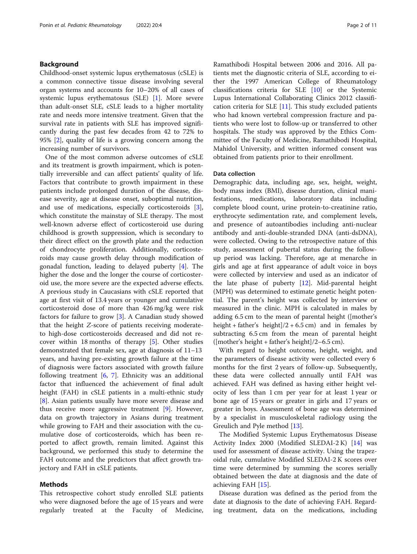#### Background

Childhood-onset systemic lupus erythematosus (cSLE) is a common connective tissue disease involving several organ systems and accounts for 10–20% of all cases of systemic lupus erythematosus (SLE) [\[1](#page-9-0)]. More severe than adult-onset SLE, cSLE leads to a higher mortality rate and needs more intensive treatment. Given that the survival rate in patients with SLE has improved significantly during the past few decades from 42 to 72% to 95% [\[2](#page-9-0)], quality of life is a growing concern among the increasing number of survivors.

One of the most common adverse outcomes of cSLE and its treatment is growth impairment, which is potentially irreversible and can affect patients' quality of life. Factors that contribute to growth impairment in these patients include prolonged duration of the disease, disease severity, age at disease onset, suboptimal nutrition, and use of medications, especially corticosteroids [\[3](#page-9-0)], which constitute the mainstay of SLE therapy. The most well-known adverse effect of corticosteroid use during childhood is growth suppression, which is secondary to their direct effect on the growth plate and the reduction of chondrocyte proliferation. Additionally, corticosteroids may cause growth delay through modification of gonadal function, leading to delayed puberty [[4\]](#page-9-0). The higher the dose and the longer the course of corticosteroid use, the more severe are the expected adverse effects. A previous study in Caucasians with cSLE reported that age at first visit of 13.4 years or younger and cumulative corticosteroid dose of more than 426 mg/kg were risk factors for failure to grow [\[3](#page-9-0)]. A Canadian study showed that the height Z-score of patients receiving moderateto high-dose corticosteroids decreased and did not recover within 18 months of therapy [[5\]](#page-9-0). Other studies demonstrated that female sex, age at diagnosis of 11–13 years, and having pre-existing growth failure at the time of diagnosis were factors associated with growth failure following treatment  $[6, 7]$  $[6, 7]$  $[6, 7]$  $[6, 7]$ . Ethnicity was an additional factor that influenced the achievement of final adult height (FAH) in cSLE patients in a multi-ethnic study [[8\]](#page-9-0). Asian patients usually have more severe disease and thus receive more aggressive treatment [\[9\]](#page-9-0). However, data on growth trajectory in Asians during treatment while growing to FAH and their association with the cumulative dose of corticosteroids, which has been reported to affect growth, remain limited. Against this background, we performed this study to determine the FAH outcome and the predictors that affect growth trajectory and FAH in cSLE patients.

#### Methods

This retrospective cohort study enrolled SLE patients who were diagnosed before the age of 15 years and were regularly treated at the Faculty of Medicine,

Ramathibodi Hospital between 2006 and 2016. All patients met the diagnostic criteria of SLE, according to either the 1997 American College of Rheumatology classifications criteria for SLE [[10](#page-9-0)] or the Systemic Lupus International Collaborating Clinics 2012 classification criteria for SLE  $[11]$  $[11]$ . This study excluded patients who had known vertebral compression fracture and patients who were lost to follow-up or transferred to other hospitals. The study was approved by the Ethics Committee of the Faculty of Medicine, Ramathibodi Hospital, Mahidol University, and written informed consent was obtained from patients prior to their enrollment.

#### Data collection

Demographic data, including age, sex, height, weight, body mass index (BMI), disease duration, clinical manifestations, medications, laboratory data including complete blood count, urine protein-to-creatinine ratio, erythrocyte sedimentation rate, and complement levels, and presence of autoantibodies including anti-nuclear antibody and anti-double-stranded DNA (anti-dsDNA), were collected. Owing to the retrospective nature of this study, assessment of pubertal status during the followup period was lacking. Therefore, age at menarche in girls and age at first appearance of adult voice in boys were collected by interview and used as an indicator of the late phase of puberty  $[12]$  $[12]$ . Mid-parental height (MPH) was determined to estimate genetic height potential. The parent's height was collected by interview or measured in the clinic. MPH is calculated in males by adding 6.5 cm to the mean of parental height ([mother's height + father's height $1/2 + 6.5$  cm) and in females by subtracting 6.5 cm from the mean of parental height ([mother's height + father's height]/2–6.5 cm).

With regard to height outcome, height, weight, and the parameters of disease activity were collected every 6 months for the first 2 years of follow-up. Subsequently, these data were collected annually until FAH was achieved. FAH was defined as having either height velocity of less than 1 cm per year for at least 1 year or bone age of 15 years or greater in girls and 17 years or greater in boys. Assessment of bone age was determined by a specialist in musculoskeletal radiology using the Greulich and Pyle method [\[13](#page-9-0)].

The Modified Systemic Lupus Erythematosus Disease Activity Index 2000 (Modified SLEDAI-2 K) [[14\]](#page-9-0) was used for assessment of disease activity. Using the trapezoidal rule, cumulative Modified SLEDAI-2 K scores over time were determined by summing the scores serially obtained between the date at diagnosis and the date of achieving FAH [[15](#page-9-0)].

Disease duration was defined as the period from the date at diagnosis to the date of achieving FAH. Regarding treatment, data on the medications, including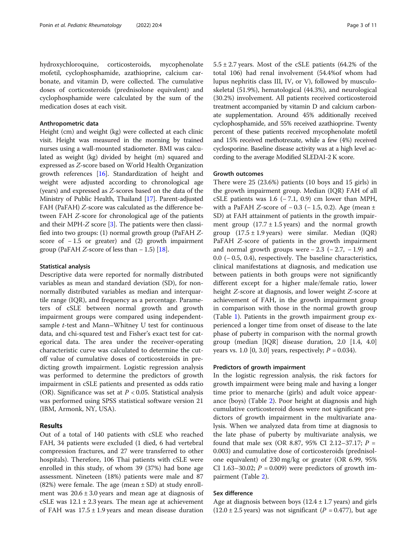hydroxychloroquine, corticosteroids, mycophenolate mofetil, cyclophosphamide, azathioprine, calcium carbonate, and vitamin D, were collected. The cumulative doses of corticosteroids (prednisolone equivalent) and cyclophosphamide were calculated by the sum of the medication doses at each visit.

#### Anthropometric data

Height (cm) and weight (kg) were collected at each clinic visit. Height was measured in the morning by trained nurses using a wall-mounted stadiometer. BMI was calculated as weight (kg) divided by height (m) squared and expressed as Z-score based on World Health Organization growth references [[16\]](#page-9-0). Standardization of height and weight were adjusted according to chronological age (years) and expressed as Z-scores based on the data of the Ministry of Public Health, Thailand [\[17\]](#page-9-0). Parent-adjusted FAH (PaFAH) Z-score was calculated as the difference between FAH Z-score for chronological age of the patients and their MPH-Z score  $[3]$  $[3]$ . The patients were then classified into two groups: (1) normal growth group (PaFAH Zscore of  $-1.5$  or greater) and (2) growth impairment group (PaFAH Z-score of less than  $-1.5$ ) [[18](#page-9-0)].

#### Statistical analysis

Descriptive data were reported for normally distributed variables as mean and standard deviation (SD), for nonnormally distributed variables as median and interquartile range (IQR), and frequency as a percentage. Parameters of cSLE between normal growth and growth impairment groups were compared using independentsample t-test and Mann–Whitney U test for continuous data, and chi-squared test and Fisher's exact test for categorical data. The area under the receiver-operating characteristic curve was calculated to determine the cutoff value of cumulative doses of corticosteroids in predicting growth impairment. Logistic regression analysis was performed to determine the predictors of growth impairment in cSLE patients and presented as odds ratio (OR). Significance was set at  $P < 0.05$ . Statistical analysis was performed using SPSS statistical software version 21 (IBM, Armonk, NY, USA).

#### Results

Out of a total of 140 patients with cSLE who reached FAH, 34 patients were excluded (1 died, 6 had vertebral compression fractures, and 27 were transferred to other hospitals). Therefore, 106 Thai patients with cSLE were enrolled in this study, of whom 39 (37%) had bone age assessment. Nineteen (18%) patients were male and 87  $(82%)$  were female. The age (mean  $\pm$  SD) at study enrollment was  $20.6 \pm 3.0$  years and mean age at diagnosis of cSLE was  $12.1 \pm 2.3$  years. The mean age at achievement of FAH was  $17.5 \pm 1.9$  years and mean disease duration  $5.5 \pm 2.7$  years. Most of the cSLE patients (64.2% of the total 106) had renal involvement (54.4%of whom had lupus nephritis class III, IV, or V), followed by musculoskeletal (51.9%), hematological (44.3%), and neurological (30.2%) involvement. All patients received corticosteroid treatment accompanied by vitamin D and calcium carbonate supplementation. Around 45% additionally received cyclophosphamide, and 55% received azathioprine. Twenty percent of these patients received mycophenolate mofetil and 15% received methotrexate, while a few (4%) received cyclosporine. Baseline disease activity was at a high level according to the average Modified SLEDAI-2 K score.

#### Growth outcomes

There were 25 (23.6%) patients (10 boys and 15 girls) in the growth impairment group. Median (IQR) FAH of all cSLE patients was  $1.6$  (−7.1, 0.9) cm lower than MPH, with a PaFAH Z-score of  $-0.3$  ( $-1.5$ , 0.2). Age (mean  $\pm$ SD) at FAH attainment of patients in the growth impairment group  $(17.7 \pm 1.5 \text{ years})$  and the normal growth group  $(17.5 \pm 1.9 \text{ years})$  were similar. Median  $(IQR)$ PaFAH Z-score of patients in the growth impairment and normal growth groups were  $-2.3$  ( $-2.7$ ,  $-1.9$ ) and 0.0 (− 0.5, 0.4), respectively. The baseline characteristics, clinical manifestations at diagnosis, and medication use between patients in both groups were not significantly different except for a higher male/female ratio, lower height Z-score at diagnosis, and lower weight Z-score at achievement of FAH, in the growth impairment group in comparison with those in the normal growth group (Table [1\)](#page-3-0). Patients in the growth impairment group experienced a longer time from onset of disease to the late phase of puberty in comparison with the normal growth group (median [IQR] disease duration, 2.0 [1.4, 4.0] years vs. 1.0 [0, 3.0] years, respectively;  $P = 0.034$ ).

#### Predictors of growth impairment

In the logistic regression analysis, the risk factors for growth impairment were being male and having a longer time prior to menarche (girls) and adult voice appearance (boys) (Table [2\)](#page-4-0). Poor height at diagnosis and high cumulative corticosteroid doses were not significant predictors of growth impairment in the multivariate analysis. When we analyzed data from time at diagnosis to the late phase of puberty by multivariate analysis, we found that male sex (OR 8.87, 95% CI 2.12–37.17;  $P =$ 0.003) and cumulative dose of corticosteroids (prednisolone equivalent) of 230 mg/kg or greater (OR 6.99, 95% CI 1.63–30.02;  $P = 0.009$ ) were predictors of growth impairment (Table [2\)](#page-4-0).

#### Sex difference

Age at diagnosis between boys  $(12.4 \pm 1.7 \,\text{years})$  and girls  $(12.0 \pm 2.5 \text{ years})$  was not significant  $(P = 0.477)$ , but age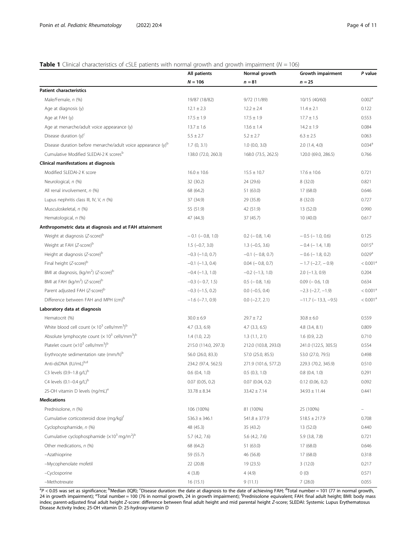#### <span id="page-3-0"></span>**Table 1** Clinical characteristics of cSLE patients with normal growth and growth impairment ( $N = 106$ )

|                                                                                           | All patients           | Normal growth          | Growth impairment            | P value              |
|-------------------------------------------------------------------------------------------|------------------------|------------------------|------------------------------|----------------------|
|                                                                                           | $N = 106$              | $n = 81$               | $n = 25$                     |                      |
| <b>Patient characteristics</b>                                                            |                        |                        |                              |                      |
| Male/Female, n (%)                                                                        | 19/87 (18/82)          | 9/72 (11/89)           | 10/15 (40/60)                | 0.002 <sup>a</sup>   |
| Age at diagnosis (y)                                                                      | $12.1 \pm 2.3$         | $12.2 \pm 2.4$         | $11.4 \pm 2.1$               | 0.122                |
| Age at FAH (y)                                                                            | $17.5 \pm 1.9$         | $17.5 \pm 1.9$         | $17.7 \pm 1.5$               | 0.553                |
| Age at menarche/adult voice appearance (y)                                                | $13.7 \pm 1.6$         | $13.6 \pm 1.4$         | $14.2 \pm 1.9$               | 0.084                |
| Disease duration $(y)^c$                                                                  | $5.5 \pm 2.7$          | $5.2 \pm 2.7$          | $6.3 \pm 2.5$                | 0.063                |
| Disease duration before menarche/adult voice appearance (y) <sup>D</sup>                  | 1.7(0, 3.1)            | $1.0$ (0.0, 3.0)       | 2.0(1.4, 4.0)                | 0.034 <sup>a</sup>   |
| Cumulative Modified SLEDAI-2 K scoresb                                                    | 138.0 (72.0, 260.3)    | 168.0 (73.5, 262.5)    | 120.0 (69.0, 286.5)          | 0.766                |
| Clinical manifestations at diagnosis                                                      |                        |                        |                              |                      |
| Modified SLEDAI-2 K score                                                                 | $16.0 \pm 10.6$        | $15.5 \pm 10.7$        | $17.6 \pm 10.6$              | 0.721                |
| Neurological, n (%)                                                                       | 32 (30.2)              | 24 (29.6)              | 8(32.0)                      | 0.821                |
| All renal involvement, n (%)                                                              | 68 (64.2)              | 51 (63.0)              | 17 (68.0)                    | 0.646                |
| Lupus nephritis class III, IV, V, n (%)                                                   | 37 (34.9)              | 29 (35.8)              | 8(32.0)                      | 0.727                |
| Musculoskeletal, n (%)                                                                    | 55 (51.9)              | 42 (51.9)              | 13 (52.0)                    | 0.990                |
| Hematological, n (%)                                                                      | 47 (44.3)              | 37 (45.7)              | 10(40.0)                     | 0.617                |
| Anthropometric data at diagnosis and at FAH attainment                                    |                        |                        |                              |                      |
| Weight at diagnosis (Z-score) <sup>b</sup>                                                | $-0.1$ ( $-0.8$ , 1.0) | $0.2$ ( $-0.8$ , 1.4)  | $-0.5$ ( $-1.0, 0.6$ )       | 0.125                |
| Weight at FAH (Z-score) <sup>b</sup>                                                      | $1.5$ (-0.7, 3.0)      | $1.3$ (-0.5, 3.6)      | $-0.4$ ( $-1.4$ , 1.8)       | 0.015 <sup>a</sup>   |
| Height at diagnosis (Z-score) <sup>b</sup>                                                | $-0.3$ ( $-1.0$ , 0.7) | $-0.1$ ( $-0.8$ , 0.7) | $-0.6$ ( $-1.8$ , 0.2)       | 0.029 <sup>a</sup>   |
| Final height (Z-score) <sup>b</sup>                                                       | $-0.1$ ( $-1.3$ , 0.4) | $0.04 (-0.8, 0.7)$     | $-1.7$ (-2.7, -0.9)          | < 0.001 <sup>a</sup> |
| BMI at diagnosis, (kg/m <sup>2</sup> ) (Z-score) <sup>b</sup>                             | $-0.4$ ( $-1.3$ , 1.0) | $-0.2$ ( $-1.3$ , 1.0) | $2.0$ (-1.3, 0.9)            | 0.204                |
| BMI at FAH (kg/m <sup>2</sup> ) (Z-score) <sup>b</sup>                                    | $-0.3$ ( $-0.7$ , 1.5) | $0.5$ ( $-0.8$ , 1.6)  | $0.09$ ( $-0.6$ , 1.0)       | 0.634                |
| Parent adjusted FAH (Z-score) <sup>b</sup>                                                | $-0.3$ ( $-1.5$ , 0.2) | $0.0$ (-0.5, 0.4)      | $-2.3$ $(-2.7, -1.9)$        | < 0.001 <sup>a</sup> |
| Difference between FAH and MPH (cm) <sup>b</sup>                                          | $-1.6$ ( $-7.1$ , 0.9) | $0.0$ (-2.7, 2.1)      | $-11.7$ ( $-13.3$ , $-9.5$ ) | < 0.001 <sup>a</sup> |
| Laboratory data at diagnosis                                                              |                        |                        |                              |                      |
| Hematocrit (%)                                                                            | $30.0 \pm 6.9$         | $29.7 \pm 7.2$         | $30.8 \pm 6.0$               | 0.559                |
| White blood cell count ( $\times$ 10 <sup>3</sup> cells/mm <sup>3</sup> ) <sup>b</sup>    | 4.7 (3.3, 6.9)         | $4.7$ $(3.3, 6.5)$     | $4.8$ $(3.4, 8.1)$           | 0.809                |
| Absolute lymphocyte count ( $\times$ 10 <sup>3</sup> cells/mm <sup>3</sup> ) <sup>b</sup> | 1.4(1.0, 2.2)          | 1.3(1.1, 2.1)          | 1.6(0.9, 2.2)                | 0.710                |
| Platelet count $(x10^3 \text{ cells/mm}^3)^b$                                             | 215.0 (114.0, 297.3)   | 212.0 (103.8, 293.0)   | 241.0 (122.5, 305.5)         | 0.554                |
| Erythrocyte sedimentation rate (mm/h) <sup>b</sup>                                        | 56.0 (26.0, 83.3)      | 57.0 (25.0, 85.5)      | 53.0 (27.0, 79.5)            | 0.498                |
| Anti-dsDNA (IU/mL)b,d                                                                     | 234.2 (97.4, 562.5)    | 271.9 (101.6, 577.2)   | 229.3 (70.2, 345.9)          | 0.510                |
| C3 levels (0.9-1.8 g/L) <sup>b</sup>                                                      | $0.6$ $(0.4, 1.0)$     | $0.5$ $(0.3, 1.0)$     | $0.8$ $(0.4, 1.0)$           | 0.291                |
| C4 levels $(0.1 - 0.4$ g/L) <sup>b</sup>                                                  | $0.07$ $(0.05, 0.2)$   | $0.07$ $(0.04, 0.2)$   | $0.12$ (0.06, 0.2)           | 0.092                |
| 25-OH vitamin D levels (ng/mL) <sup>e</sup>                                               | $33.78 \pm 8.34$       | $33.42 \pm 7.14$       | $34.93 \pm 11.44$            | 0.441                |
| <b>Medications</b>                                                                        |                        |                        |                              |                      |
| Prednisolone, n (%)                                                                       | 106 (100%)             | 81 (100%)              | 25 (100%)                    |                      |
| Cumulative corticosteroid dose (mg/kg) <sup>T</sup>                                       | $536.3 \pm 346.1$      | $541.8 \pm 377.9$      | $518.5 \pm 217.9$            | 0.708                |
| Cyclophosphamide, n (%)                                                                   | 48 (45.3)              | 35 (43.2)              | 13 (52.0)                    | 0.440                |
| Cumulative cyclophosphamide $(x10^3 \text{ mg/m}^2)^b$                                    | 5.7(4.2, 7.6)          | 5.6 (4.2, 7.6)         |                              |                      |
|                                                                                           |                        |                        | 5.9 (3.8, 7.8)               | 0.721                |
| Other medications, n (%)                                                                  | 68 (64.2)              | 51 (63.0)              | 17 (68.0)                    | 0.646                |
| -Azathioprine                                                                             | 59 (55.7)              | 46 (56.8)              | 17 (68.0)                    | 0.318                |
| -Mycophenolate mofetil                                                                    | 22 (20.8)              | 19 (23.5)              | 3(12.0)                      | 0.217                |
| -Cyclosporine                                                                             | 4(3.8)                 | 4(4.9)                 | 0(0)                         | 0.571                |
| -Methotrexate                                                                             | 16(15.1)               | 9(11.1)                | 7(28.0)                      | 0.055                |

<sup>a</sup>P < 0.05 was set as significance; <sup>b</sup>Median (IQR); <sup>c</sup>Disease duration: the date at diagnosis to the date of achieving FAH; <sup>d</sup>Total number = 101 (77 in normal growth, 24 in growth impairment); <sup>e–</sup>Total number = 100 (76 in normal growth, 24 in growth impairment); <sup>f</sup>Prednisolone equivalent; FAH: final adult height; BMI: body mass index; parent-adjusted final adult height Z-score: difference between final adult height and mid parental height Z-score; SLEDAI: Systemic Lupus Erythematosus Disease Activity Index; 25-OH vitamin D: 25-hydroxy-vitamin D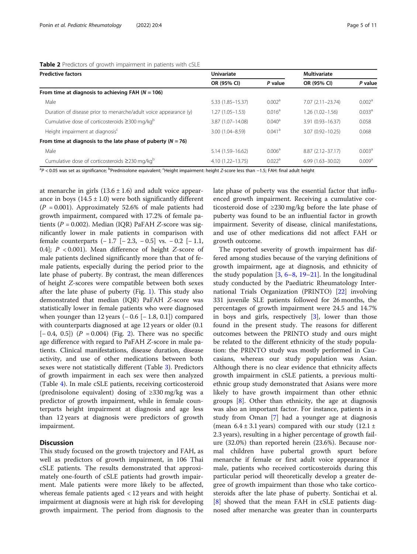<span id="page-4-0"></span>

| <b>Predictive factors</b>                                        | Univariate           |                      |                      | <b>Multivariate</b> |  |
|------------------------------------------------------------------|----------------------|----------------------|----------------------|---------------------|--|
|                                                                  | OR (95% CI)          | P value              | OR (95% CI)          | P value             |  |
| From time at diagnosis to achieving FAH ( $N = 106$ )            |                      |                      |                      |                     |  |
| Male                                                             | 5.33 (1.85-15.37)    | 0.002 <sup>a</sup>   | $7.07(2.11 - 23.74)$ | 0.002 <sup>a</sup>  |  |
| Duration of disease prior to menarche/adult voice appearance (y) | $.27(1.05 - 1.53)$   | $0.016^a$            | $1.26(1.02 - 1.56)$  | 0.033 <sup>a</sup>  |  |
| Cumulative dose of corticosteroids ≥300 mg/kg <sup>b</sup>       | 3.87 (1.07-14.08)    | $0.040^{\circ}$      | $3.91(0.93 - 16.37)$ | 0.058               |  |
| Height impairment at diagnosis <sup>c</sup>                      | 3.00 (1.04-8.59)     | $0.041$ <sup>a</sup> | 3.07 (0.92-10.25)    | 0.068               |  |
| From time at diagnosis to the late phase of puberty ( $N = 76$ ) |                      |                      |                      |                     |  |
| Male                                                             | 5.14 (1.59-16.62)    | 0.006 <sup>a</sup>   | $8.87(2.12 - 37.17)$ | 0.003 <sup>a</sup>  |  |
| Cumulative dose of corticosteroids ≥230 mg/kg <sup>b</sup>       | $4.10(1.22 - 13.75)$ | 0.022 <sup>a</sup>   | $6.99(1.63 - 30.02)$ | 0.009 <sup>a</sup>  |  |

<sup>a</sup>P < 0.05 was set as significance; <sup>b</sup>Prednisolone equivalent; <sup>c</sup>Height impairment: height Z-score less than −1.5; FAH: final adult height

at menarche in girls  $(13.6 \pm 1.6)$  and adult voice appearance in boys  $(14.5 \pm 1.0)$  were both significantly different  $(P = 0.001)$ . Approximately 52.6% of male patients had growth impairment, compared with 17.2% of female patients ( $P = 0.002$ ). Median (IQR) PaFAH Z-score was significantly lower in male patients in comparison with female counterparts  $(-1.7 [-2.3, -0.5]$  vs.  $-0.2 [-1.1,$ 0.4];  $P < 0.001$ ). Mean difference of height Z-score of male patients declined significantly more than that of female patients, especially during the period prior to the late phase of puberty. By contrast, the mean differences of height Z-scores were compatible between both sexes after the late phase of puberty (Fig. [1\)](#page-5-0). This study also demonstrated that median (IQR) PaFAH Z-score was statistically lower in female patients who were diagnosed when younger than 12 years  $(-0.6 [-1.8, 0.1])$  compared with counterparts diagnosed at age 12 years or older (0.1  $[-0.4, 0.5]$   $(P = 0.004)$  (Fig. [2\)](#page-6-0). There was no specific age difference with regard to PaFAH Z-score in male patients. Clinical manifestations, disease duration, disease activity, and use of other medications between both sexes were not statistically different (Table [3](#page-7-0)). Predictors of growth impairment in each sex were then analyzed (Table [4\)](#page-8-0). In male cSLE patients, receiving corticosteroid (prednisolone equivalent) dosing of ≥330 mg/kg was a predictor of growth impairment, while in female counterparts height impairment at diagnosis and age less than 12 years at diagnosis were predictors of growth impairment.

#### **Discussion**

This study focused on the growth trajectory and FAH, as well as predictors of growth impairment, in 106 Thai cSLE patients. The results demonstrated that approximately one-fourth of cSLE patients had growth impairment. Male patients were more likely to be affected, whereas female patients aged < 12 years and with height impairment at diagnosis were at high risk for developing growth impairment. The period from diagnosis to the late phase of puberty was the essential factor that influenced growth impairment. Receiving a cumulative corticosteroid dose of ≥230 mg/kg before the late phase of puberty was found to be an influential factor in growth impairment. Severity of disease, clinical manifestations, and use of other medications did not affect FAH or growth outcome.

The reported severity of growth impairment has differed among studies because of the varying definitions of growth impairment, age at diagnosis, and ethnicity of the study population  $[3, 6-8, 19-21]$  $[3, 6-8, 19-21]$  $[3, 6-8, 19-21]$  $[3, 6-8, 19-21]$  $[3, 6-8, 19-21]$  $[3, 6-8, 19-21]$  $[3, 6-8, 19-21]$  $[3, 6-8, 19-21]$  $[3, 6-8, 19-21]$  $[3, 6-8, 19-21]$ . In the longitudinal study conducted by the Paediatric Rheumatology International Trials Organization (PRINTO) [[22\]](#page-9-0) involving 331 juvenile SLE patients followed for 26 months, the percentages of growth impairment were 24.5 and 14.7% in boys and girls, respectively [\[3](#page-9-0)], lower than those found in the present study. The reasons for different outcomes between the PRINTO study and ours might be related to the different ethnicity of the study population: the PRINTO study was mostly performed in Caucasians, whereas our study population was Asian. Although there is no clear evidence that ethnicity affects growth impairment in cSLE patients, a previous multiethnic group study demonstrated that Asians were more likely to have growth impairment than other ethnic groups [[8\]](#page-9-0). Other than ethnicity, the age at diagnosis was also an important factor. For instance, patients in a study from Oman [\[7\]](#page-9-0) had a younger age at diagnosis (mean  $6.4 \pm 3.1$  years) compared with our study (12.1  $\pm$ 2.3 years), resulting in a higher percentage of growth failure (32.0%) than reported herein (23.6%). Because normal children have pubertal growth spurt before menarche if female or first adult voice appearance if male, patients who received corticosteroids during this particular period will theoretically develop a greater degree of growth impairment than those who take corticosteroids after the late phase of puberty. Sontichai et al. [[8\]](#page-9-0) showed that the mean FAH in cSLE patients diagnosed after menarche was greater than in counterparts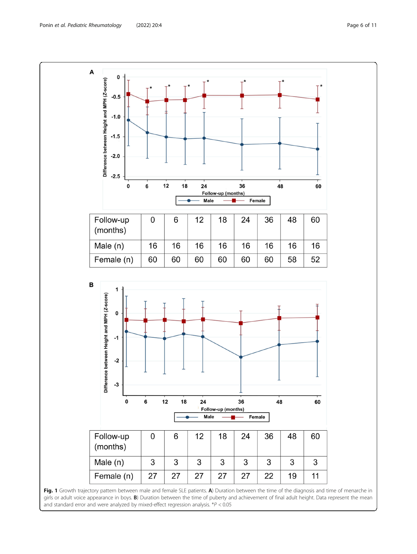<span id="page-5-0"></span>

Fig. 1 Growth trajectory pattern between male and female SLE patients. A) Duration between the time of the diagnosis and time of menarche in girls or adult voice appearance in boys. B) Duration between the time of puberty and achievement of final adult height. Data represent the mean and standard error and were analyzed by mixed-effect regression analysis.  $*P < 0.05$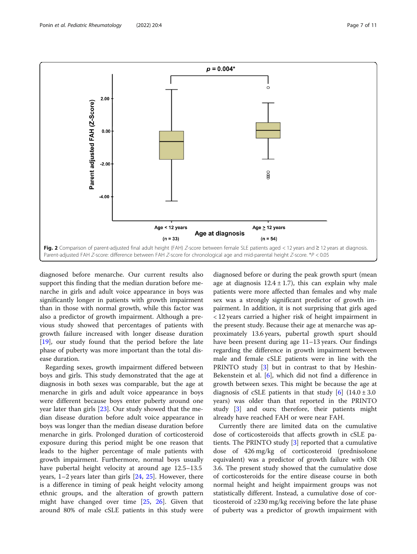<span id="page-6-0"></span>

diagnosed before menarche. Our current results also support this finding that the median duration before menarche in girls and adult voice appearance in boys was significantly longer in patients with growth impairment than in those with normal growth, while this factor was also a predictor of growth impairment. Although a previous study showed that percentages of patients with growth failure increased with longer disease duration [[19\]](#page-9-0), our study found that the period before the late phase of puberty was more important than the total disease duration.

Regarding sexes, growth impairment differed between boys and girls. This study demonstrated that the age at diagnosis in both sexes was comparable, but the age at menarche in girls and adult voice appearance in boys were different because boys enter puberty around one year later than girls [[23\]](#page-9-0). Our study showed that the median disease duration before adult voice appearance in boys was longer than the median disease duration before menarche in girls. Prolonged duration of corticosteroid exposure during this period might be one reason that leads to the higher percentage of male patients with growth impairment. Furthermore, normal boys usually have pubertal height velocity at around age 12.5–13.5 years, 1–2 years later than girls [[24,](#page-9-0) [25](#page-10-0)]. However, there is a difference in timing of peak height velocity among ethnic groups, and the alteration of growth pattern might have changed over time [\[25,](#page-10-0) [26](#page-10-0)]. Given that around 80% of male cSLE patients in this study were

diagnosed before or during the peak growth spurt (mean age at diagnosis  $12.4 \pm 1.7$ ), this can explain why male patients were more affected than females and why male sex was a strongly significant predictor of growth impairment. In addition, it is not surprising that girls aged < 12 years carried a higher risk of height impairment in the present study. Because their age at menarche was approximately 13.6 years, pubertal growth spurt should have been present during age 11–13 years. Our findings regarding the difference in growth impairment between male and female cSLE patients were in line with the PRINTO study [[3\]](#page-9-0) but in contrast to that by Heshin-Bekenstein et al. [[6\]](#page-9-0), which did not find a difference in growth between sexes. This might be because the age at diagnosis of cSLE patients in that study  $[6]$  $[6]$  $[6]$  (14.0 ± 3.0) years) was older than that reported in the PRINTO study [\[3](#page-9-0)] and ours; therefore, their patients might already have reached FAH or were near FAH.

Currently there are limited data on the cumulative dose of corticosteroids that affects growth in cSLE patients. The PRINTO study [[3\]](#page-9-0) reported that a cumulative dose of 426 mg/kg of corticosteroid (prednisolone equivalent) was a predictor of growth failure with OR 3.6. The present study showed that the cumulative dose of corticosteroids for the entire disease course in both normal height and height impairment groups was not statistically different. Instead, a cumulative dose of corticosteroid of ≥230 mg/kg receiving before the late phase of puberty was a predictor of growth impairment with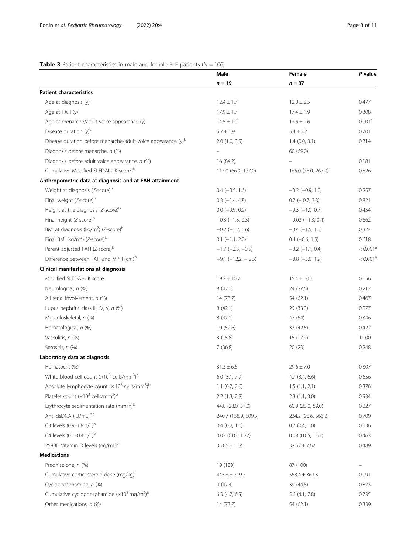#### <span id="page-7-0"></span>**Table 3** Patient characteristics in male and female SLE patients ( $N = 106$ )

| $n = 87$<br>$n = 19$<br><b>Patient characteristics</b><br>Age at diagnosis (y)<br>$12.4 \pm 1.7$<br>$12.0 \pm 2.5$<br>0.477<br>Age at FAH (y)<br>$17.9 \pm 1.7$<br>$17.4 \pm 1.9$<br>0.308<br>0.001 <sup>a</sup><br>Age at menarche/adult voice appearance (y)<br>$14.5 \pm 1.0$<br>$13.6 \pm 1.6$<br>Disease duration $(y)^c$<br>0.701<br>$5.7 \pm 1.9$<br>$5.4 \pm 2.7$<br>Disease duration before menarche/adult voice appearance (y) <sup>b</sup><br>0.314<br>$2.0$ (1.0, 3.5)<br>$1.4$ (0.0, 3.1)<br>Diagnosis before menarche, n (%)<br>60 (69.0)<br>Diagnosis before adult voice appearance, n (%)<br>16 (84.2)<br>0.181<br>Cumulative Modified SLEDAI-2 K scoresb<br>117.0 (66.0, 177.0)<br>165.0 (75.0, 267.0)<br>0.526<br>Anthropometric data at diagnosis and at FAH attainment<br>Weight at diagnosis (Z-score) <sup>b</sup><br>$0.4 (-0.5, 1.6)$<br>$-0.2$ $(-0.9, 1.0)$<br>0.257<br>Final weight (Z-score) <sup>b</sup><br>$0.7$ ( $-0.7$ , 3.0)<br>0.821<br>$0.3$ (-1.4, 4.8)<br>Height at the diagnosis ( $Z$ -score) <sup>b</sup><br>$0.0$ ( $-0.9$ , $0.9$ )<br>$-0.3$ ( $-1.0$ , 0.7)<br>0.454<br>Final height (Z-score) <sup>b</sup><br>$-0.3$ $(-1.3, 0.3)$<br>$-0.02$ ( $-1.3$ , 0.4)<br>0.662<br>BMI at diagnosis (kg/m <sup>2</sup> ) (Z-score) <sup>b</sup><br>$-0.2$ ( $-1.2$ , 1.6)<br>$-0.4$ ( $-1.5$ , 1.0)<br>0.327<br>Final BMI (kg/m <sup>2</sup> ) (Z-score) <sup>b</sup><br>$0.1$ $(-1.1, 2.0)$<br>$0.4 (-0.6, 1.5)$<br>0.618<br>Parent-adjusted FAH (Z-score) <sup>b</sup><br>$-1.7$ ( $-2.3$ , $-0.5$ )<br>$-0.2$ ( $-1.1$ , 0.4)<br>Difference between FAH and MPH (cm) <sup>b</sup><br>$-9.1$ $(-12.2, -2.5)$<br>$-0.8$ $(-5.0, 1.9)$<br>Clinical manifestations at diagnosis<br>Modified SLEDAI-2 K score<br>$19.2 \pm 10.2$<br>$15.4 \pm 10.7$<br>0.156<br>Neurological, n (%)<br>8(42.1)<br>24 (27.6)<br>0.212<br>All renal involvement, n (%)<br>14 (73.7)<br>54 (62.1)<br>0.467<br>Lupus nephritis class III, IV, V, n (%)<br>8(42.1)<br>29 (33.3)<br>0.277<br>Musculoskeletal, n (%)<br>8(42.1)<br>47 (54)<br>0.346<br>Hematological, n (%)<br>10(52.6)<br>37 (42.5)<br>0.422<br>Vasculitis, n (%)<br>3(15.8)<br>15 (17.2)<br>1.000<br>Serositis, n (%)<br>7(36.8)<br>20(23)<br>0.248<br>Laboratory data at diagnosis<br>Hematocrit (%)<br>$31.3 \pm 6.6$<br>$29.6 \pm 7.0$<br>0.307<br>White blood cell count $(x10^3 \text{ cells/mm}^3)^b$<br>0.656<br>$6.0$ $(3.1, 7.9)$<br>$4.7$ $(3.4, 6.6)$<br>Absolute lymphocyte count ( $\times$ 10 <sup>3</sup> cells/mm <sup>3</sup> ) <sup>b</sup><br>$1.1$ (0.7, 2.6)<br>1.5(1.1, 2.1)<br>0.376<br>Platelet count $(x10^3 \text{ cells/mm}^3)^b$<br>$2.2$ (1.3, 2.8)<br>2.3(1.1, 3.0)<br>0.934<br>Erythrocyte sedimentation rate (mm/h) <sup>b</sup><br>44.0 (28.0, 57.0)<br>60.0 (23.0, 89.0)<br>0.227<br>Anti-dsDNA (IU/mL)b,d<br>240.7 (138.9, 609.5)<br>234.2 (90.6, 566.2)<br>0.709<br>C3 levels (0.9-1.8 g/L) <sup>b</sup><br>$0.4$ $(0.2, 1.0)$<br>$0.7$ $(0.4, 1.0)$<br>0.036<br>C4 levels $(0.1 - 0.4$ g/L) <sup>b</sup><br>0.463<br>$0.07$ $(0.03, 1.27)$<br>$0.08$ (0.05, 1.52)<br>25-OH Vitamin D levels (ng/mL) <sup>e</sup><br>$35.06 \pm 11.41$<br>$33.52 \pm 7.62$<br>0.489<br><b>Medications</b><br>Prednisolone, n (%)<br>19 (100)<br>87 (100)<br>Cumulative corticosteroid dose (mg/kg) <sup>t</sup><br>$445.8 \pm 219.3$<br>$553.4 \pm 367.3$<br>0.091<br>Cyclophosphamide, n (%)<br>9(47.4)<br>39 (44.8)<br>0.873<br>Cumulative cyclophosphamide $(x10^3 \,\text{mg/m}^2)^b$<br>$6.3$ (4.7, 6.5)<br>0.735<br>$5.6$ (4.1, 7.8)<br>Other medications, n (%)<br>14(73.7)<br>54 (62.1)<br>0.339 | Male | Female | P value              |
|------------------------------------------------------------------------------------------------------------------------------------------------------------------------------------------------------------------------------------------------------------------------------------------------------------------------------------------------------------------------------------------------------------------------------------------------------------------------------------------------------------------------------------------------------------------------------------------------------------------------------------------------------------------------------------------------------------------------------------------------------------------------------------------------------------------------------------------------------------------------------------------------------------------------------------------------------------------------------------------------------------------------------------------------------------------------------------------------------------------------------------------------------------------------------------------------------------------------------------------------------------------------------------------------------------------------------------------------------------------------------------------------------------------------------------------------------------------------------------------------------------------------------------------------------------------------------------------------------------------------------------------------------------------------------------------------------------------------------------------------------------------------------------------------------------------------------------------------------------------------------------------------------------------------------------------------------------------------------------------------------------------------------------------------------------------------------------------------------------------------------------------------------------------------------------------------------------------------------------------------------------------------------------------------------------------------------------------------------------------------------------------------------------------------------------------------------------------------------------------------------------------------------------------------------------------------------------------------------------------------------------------------------------------------------------------------------------------------------------------------------------------------------------------------------------------------------------------------------------------------------------------------------------------------------------------------------------------------------------------------------------------------------------------------------------------------------------------------------------------------------------------------------------------------------------------------------------------------------------------------------------------------------------------------------------------------------------------------------------------------------------------------------------------------------------------------------------------------------------------------------------------------------------------------------------------------------------------------------------|------|--------|----------------------|
|                                                                                                                                                                                                                                                                                                                                                                                                                                                                                                                                                                                                                                                                                                                                                                                                                                                                                                                                                                                                                                                                                                                                                                                                                                                                                                                                                                                                                                                                                                                                                                                                                                                                                                                                                                                                                                                                                                                                                                                                                                                                                                                                                                                                                                                                                                                                                                                                                                                                                                                                                                                                                                                                                                                                                                                                                                                                                                                                                                                                                                                                                                                                                                                                                                                                                                                                                                                                                                                                                                                                                                                                            |      |        |                      |
|                                                                                                                                                                                                                                                                                                                                                                                                                                                                                                                                                                                                                                                                                                                                                                                                                                                                                                                                                                                                                                                                                                                                                                                                                                                                                                                                                                                                                                                                                                                                                                                                                                                                                                                                                                                                                                                                                                                                                                                                                                                                                                                                                                                                                                                                                                                                                                                                                                                                                                                                                                                                                                                                                                                                                                                                                                                                                                                                                                                                                                                                                                                                                                                                                                                                                                                                                                                                                                                                                                                                                                                                            |      |        |                      |
|                                                                                                                                                                                                                                                                                                                                                                                                                                                                                                                                                                                                                                                                                                                                                                                                                                                                                                                                                                                                                                                                                                                                                                                                                                                                                                                                                                                                                                                                                                                                                                                                                                                                                                                                                                                                                                                                                                                                                                                                                                                                                                                                                                                                                                                                                                                                                                                                                                                                                                                                                                                                                                                                                                                                                                                                                                                                                                                                                                                                                                                                                                                                                                                                                                                                                                                                                                                                                                                                                                                                                                                                            |      |        |                      |
|                                                                                                                                                                                                                                                                                                                                                                                                                                                                                                                                                                                                                                                                                                                                                                                                                                                                                                                                                                                                                                                                                                                                                                                                                                                                                                                                                                                                                                                                                                                                                                                                                                                                                                                                                                                                                                                                                                                                                                                                                                                                                                                                                                                                                                                                                                                                                                                                                                                                                                                                                                                                                                                                                                                                                                                                                                                                                                                                                                                                                                                                                                                                                                                                                                                                                                                                                                                                                                                                                                                                                                                                            |      |        |                      |
|                                                                                                                                                                                                                                                                                                                                                                                                                                                                                                                                                                                                                                                                                                                                                                                                                                                                                                                                                                                                                                                                                                                                                                                                                                                                                                                                                                                                                                                                                                                                                                                                                                                                                                                                                                                                                                                                                                                                                                                                                                                                                                                                                                                                                                                                                                                                                                                                                                                                                                                                                                                                                                                                                                                                                                                                                                                                                                                                                                                                                                                                                                                                                                                                                                                                                                                                                                                                                                                                                                                                                                                                            |      |        |                      |
|                                                                                                                                                                                                                                                                                                                                                                                                                                                                                                                                                                                                                                                                                                                                                                                                                                                                                                                                                                                                                                                                                                                                                                                                                                                                                                                                                                                                                                                                                                                                                                                                                                                                                                                                                                                                                                                                                                                                                                                                                                                                                                                                                                                                                                                                                                                                                                                                                                                                                                                                                                                                                                                                                                                                                                                                                                                                                                                                                                                                                                                                                                                                                                                                                                                                                                                                                                                                                                                                                                                                                                                                            |      |        |                      |
|                                                                                                                                                                                                                                                                                                                                                                                                                                                                                                                                                                                                                                                                                                                                                                                                                                                                                                                                                                                                                                                                                                                                                                                                                                                                                                                                                                                                                                                                                                                                                                                                                                                                                                                                                                                                                                                                                                                                                                                                                                                                                                                                                                                                                                                                                                                                                                                                                                                                                                                                                                                                                                                                                                                                                                                                                                                                                                                                                                                                                                                                                                                                                                                                                                                                                                                                                                                                                                                                                                                                                                                                            |      |        |                      |
|                                                                                                                                                                                                                                                                                                                                                                                                                                                                                                                                                                                                                                                                                                                                                                                                                                                                                                                                                                                                                                                                                                                                                                                                                                                                                                                                                                                                                                                                                                                                                                                                                                                                                                                                                                                                                                                                                                                                                                                                                                                                                                                                                                                                                                                                                                                                                                                                                                                                                                                                                                                                                                                                                                                                                                                                                                                                                                                                                                                                                                                                                                                                                                                                                                                                                                                                                                                                                                                                                                                                                                                                            |      |        |                      |
|                                                                                                                                                                                                                                                                                                                                                                                                                                                                                                                                                                                                                                                                                                                                                                                                                                                                                                                                                                                                                                                                                                                                                                                                                                                                                                                                                                                                                                                                                                                                                                                                                                                                                                                                                                                                                                                                                                                                                                                                                                                                                                                                                                                                                                                                                                                                                                                                                                                                                                                                                                                                                                                                                                                                                                                                                                                                                                                                                                                                                                                                                                                                                                                                                                                                                                                                                                                                                                                                                                                                                                                                            |      |        |                      |
|                                                                                                                                                                                                                                                                                                                                                                                                                                                                                                                                                                                                                                                                                                                                                                                                                                                                                                                                                                                                                                                                                                                                                                                                                                                                                                                                                                                                                                                                                                                                                                                                                                                                                                                                                                                                                                                                                                                                                                                                                                                                                                                                                                                                                                                                                                                                                                                                                                                                                                                                                                                                                                                                                                                                                                                                                                                                                                                                                                                                                                                                                                                                                                                                                                                                                                                                                                                                                                                                                                                                                                                                            |      |        |                      |
|                                                                                                                                                                                                                                                                                                                                                                                                                                                                                                                                                                                                                                                                                                                                                                                                                                                                                                                                                                                                                                                                                                                                                                                                                                                                                                                                                                                                                                                                                                                                                                                                                                                                                                                                                                                                                                                                                                                                                                                                                                                                                                                                                                                                                                                                                                                                                                                                                                                                                                                                                                                                                                                                                                                                                                                                                                                                                                                                                                                                                                                                                                                                                                                                                                                                                                                                                                                                                                                                                                                                                                                                            |      |        |                      |
|                                                                                                                                                                                                                                                                                                                                                                                                                                                                                                                                                                                                                                                                                                                                                                                                                                                                                                                                                                                                                                                                                                                                                                                                                                                                                                                                                                                                                                                                                                                                                                                                                                                                                                                                                                                                                                                                                                                                                                                                                                                                                                                                                                                                                                                                                                                                                                                                                                                                                                                                                                                                                                                                                                                                                                                                                                                                                                                                                                                                                                                                                                                                                                                                                                                                                                                                                                                                                                                                                                                                                                                                            |      |        |                      |
|                                                                                                                                                                                                                                                                                                                                                                                                                                                                                                                                                                                                                                                                                                                                                                                                                                                                                                                                                                                                                                                                                                                                                                                                                                                                                                                                                                                                                                                                                                                                                                                                                                                                                                                                                                                                                                                                                                                                                                                                                                                                                                                                                                                                                                                                                                                                                                                                                                                                                                                                                                                                                                                                                                                                                                                                                                                                                                                                                                                                                                                                                                                                                                                                                                                                                                                                                                                                                                                                                                                                                                                                            |      |        |                      |
|                                                                                                                                                                                                                                                                                                                                                                                                                                                                                                                                                                                                                                                                                                                                                                                                                                                                                                                                                                                                                                                                                                                                                                                                                                                                                                                                                                                                                                                                                                                                                                                                                                                                                                                                                                                                                                                                                                                                                                                                                                                                                                                                                                                                                                                                                                                                                                                                                                                                                                                                                                                                                                                                                                                                                                                                                                                                                                                                                                                                                                                                                                                                                                                                                                                                                                                                                                                                                                                                                                                                                                                                            |      |        |                      |
|                                                                                                                                                                                                                                                                                                                                                                                                                                                                                                                                                                                                                                                                                                                                                                                                                                                                                                                                                                                                                                                                                                                                                                                                                                                                                                                                                                                                                                                                                                                                                                                                                                                                                                                                                                                                                                                                                                                                                                                                                                                                                                                                                                                                                                                                                                                                                                                                                                                                                                                                                                                                                                                                                                                                                                                                                                                                                                                                                                                                                                                                                                                                                                                                                                                                                                                                                                                                                                                                                                                                                                                                            |      |        |                      |
|                                                                                                                                                                                                                                                                                                                                                                                                                                                                                                                                                                                                                                                                                                                                                                                                                                                                                                                                                                                                                                                                                                                                                                                                                                                                                                                                                                                                                                                                                                                                                                                                                                                                                                                                                                                                                                                                                                                                                                                                                                                                                                                                                                                                                                                                                                                                                                                                                                                                                                                                                                                                                                                                                                                                                                                                                                                                                                                                                                                                                                                                                                                                                                                                                                                                                                                                                                                                                                                                                                                                                                                                            |      |        |                      |
|                                                                                                                                                                                                                                                                                                                                                                                                                                                                                                                                                                                                                                                                                                                                                                                                                                                                                                                                                                                                                                                                                                                                                                                                                                                                                                                                                                                                                                                                                                                                                                                                                                                                                                                                                                                                                                                                                                                                                                                                                                                                                                                                                                                                                                                                                                                                                                                                                                                                                                                                                                                                                                                                                                                                                                                                                                                                                                                                                                                                                                                                                                                                                                                                                                                                                                                                                                                                                                                                                                                                                                                                            |      |        |                      |
|                                                                                                                                                                                                                                                                                                                                                                                                                                                                                                                                                                                                                                                                                                                                                                                                                                                                                                                                                                                                                                                                                                                                                                                                                                                                                                                                                                                                                                                                                                                                                                                                                                                                                                                                                                                                                                                                                                                                                                                                                                                                                                                                                                                                                                                                                                                                                                                                                                                                                                                                                                                                                                                                                                                                                                                                                                                                                                                                                                                                                                                                                                                                                                                                                                                                                                                                                                                                                                                                                                                                                                                                            |      |        | < 0.001 <sup>a</sup> |
|                                                                                                                                                                                                                                                                                                                                                                                                                                                                                                                                                                                                                                                                                                                                                                                                                                                                                                                                                                                                                                                                                                                                                                                                                                                                                                                                                                                                                                                                                                                                                                                                                                                                                                                                                                                                                                                                                                                                                                                                                                                                                                                                                                                                                                                                                                                                                                                                                                                                                                                                                                                                                                                                                                                                                                                                                                                                                                                                                                                                                                                                                                                                                                                                                                                                                                                                                                                                                                                                                                                                                                                                            |      |        | < 0.001 <sup>a</sup> |
|                                                                                                                                                                                                                                                                                                                                                                                                                                                                                                                                                                                                                                                                                                                                                                                                                                                                                                                                                                                                                                                                                                                                                                                                                                                                                                                                                                                                                                                                                                                                                                                                                                                                                                                                                                                                                                                                                                                                                                                                                                                                                                                                                                                                                                                                                                                                                                                                                                                                                                                                                                                                                                                                                                                                                                                                                                                                                                                                                                                                                                                                                                                                                                                                                                                                                                                                                                                                                                                                                                                                                                                                            |      |        |                      |
|                                                                                                                                                                                                                                                                                                                                                                                                                                                                                                                                                                                                                                                                                                                                                                                                                                                                                                                                                                                                                                                                                                                                                                                                                                                                                                                                                                                                                                                                                                                                                                                                                                                                                                                                                                                                                                                                                                                                                                                                                                                                                                                                                                                                                                                                                                                                                                                                                                                                                                                                                                                                                                                                                                                                                                                                                                                                                                                                                                                                                                                                                                                                                                                                                                                                                                                                                                                                                                                                                                                                                                                                            |      |        |                      |
|                                                                                                                                                                                                                                                                                                                                                                                                                                                                                                                                                                                                                                                                                                                                                                                                                                                                                                                                                                                                                                                                                                                                                                                                                                                                                                                                                                                                                                                                                                                                                                                                                                                                                                                                                                                                                                                                                                                                                                                                                                                                                                                                                                                                                                                                                                                                                                                                                                                                                                                                                                                                                                                                                                                                                                                                                                                                                                                                                                                                                                                                                                                                                                                                                                                                                                                                                                                                                                                                                                                                                                                                            |      |        |                      |
|                                                                                                                                                                                                                                                                                                                                                                                                                                                                                                                                                                                                                                                                                                                                                                                                                                                                                                                                                                                                                                                                                                                                                                                                                                                                                                                                                                                                                                                                                                                                                                                                                                                                                                                                                                                                                                                                                                                                                                                                                                                                                                                                                                                                                                                                                                                                                                                                                                                                                                                                                                                                                                                                                                                                                                                                                                                                                                                                                                                                                                                                                                                                                                                                                                                                                                                                                                                                                                                                                                                                                                                                            |      |        |                      |
|                                                                                                                                                                                                                                                                                                                                                                                                                                                                                                                                                                                                                                                                                                                                                                                                                                                                                                                                                                                                                                                                                                                                                                                                                                                                                                                                                                                                                                                                                                                                                                                                                                                                                                                                                                                                                                                                                                                                                                                                                                                                                                                                                                                                                                                                                                                                                                                                                                                                                                                                                                                                                                                                                                                                                                                                                                                                                                                                                                                                                                                                                                                                                                                                                                                                                                                                                                                                                                                                                                                                                                                                            |      |        |                      |
|                                                                                                                                                                                                                                                                                                                                                                                                                                                                                                                                                                                                                                                                                                                                                                                                                                                                                                                                                                                                                                                                                                                                                                                                                                                                                                                                                                                                                                                                                                                                                                                                                                                                                                                                                                                                                                                                                                                                                                                                                                                                                                                                                                                                                                                                                                                                                                                                                                                                                                                                                                                                                                                                                                                                                                                                                                                                                                                                                                                                                                                                                                                                                                                                                                                                                                                                                                                                                                                                                                                                                                                                            |      |        |                      |
|                                                                                                                                                                                                                                                                                                                                                                                                                                                                                                                                                                                                                                                                                                                                                                                                                                                                                                                                                                                                                                                                                                                                                                                                                                                                                                                                                                                                                                                                                                                                                                                                                                                                                                                                                                                                                                                                                                                                                                                                                                                                                                                                                                                                                                                                                                                                                                                                                                                                                                                                                                                                                                                                                                                                                                                                                                                                                                                                                                                                                                                                                                                                                                                                                                                                                                                                                                                                                                                                                                                                                                                                            |      |        |                      |
|                                                                                                                                                                                                                                                                                                                                                                                                                                                                                                                                                                                                                                                                                                                                                                                                                                                                                                                                                                                                                                                                                                                                                                                                                                                                                                                                                                                                                                                                                                                                                                                                                                                                                                                                                                                                                                                                                                                                                                                                                                                                                                                                                                                                                                                                                                                                                                                                                                                                                                                                                                                                                                                                                                                                                                                                                                                                                                                                                                                                                                                                                                                                                                                                                                                                                                                                                                                                                                                                                                                                                                                                            |      |        |                      |
|                                                                                                                                                                                                                                                                                                                                                                                                                                                                                                                                                                                                                                                                                                                                                                                                                                                                                                                                                                                                                                                                                                                                                                                                                                                                                                                                                                                                                                                                                                                                                                                                                                                                                                                                                                                                                                                                                                                                                                                                                                                                                                                                                                                                                                                                                                                                                                                                                                                                                                                                                                                                                                                                                                                                                                                                                                                                                                                                                                                                                                                                                                                                                                                                                                                                                                                                                                                                                                                                                                                                                                                                            |      |        |                      |
|                                                                                                                                                                                                                                                                                                                                                                                                                                                                                                                                                                                                                                                                                                                                                                                                                                                                                                                                                                                                                                                                                                                                                                                                                                                                                                                                                                                                                                                                                                                                                                                                                                                                                                                                                                                                                                                                                                                                                                                                                                                                                                                                                                                                                                                                                                                                                                                                                                                                                                                                                                                                                                                                                                                                                                                                                                                                                                                                                                                                                                                                                                                                                                                                                                                                                                                                                                                                                                                                                                                                                                                                            |      |        |                      |
|                                                                                                                                                                                                                                                                                                                                                                                                                                                                                                                                                                                                                                                                                                                                                                                                                                                                                                                                                                                                                                                                                                                                                                                                                                                                                                                                                                                                                                                                                                                                                                                                                                                                                                                                                                                                                                                                                                                                                                                                                                                                                                                                                                                                                                                                                                                                                                                                                                                                                                                                                                                                                                                                                                                                                                                                                                                                                                                                                                                                                                                                                                                                                                                                                                                                                                                                                                                                                                                                                                                                                                                                            |      |        |                      |
|                                                                                                                                                                                                                                                                                                                                                                                                                                                                                                                                                                                                                                                                                                                                                                                                                                                                                                                                                                                                                                                                                                                                                                                                                                                                                                                                                                                                                                                                                                                                                                                                                                                                                                                                                                                                                                                                                                                                                                                                                                                                                                                                                                                                                                                                                                                                                                                                                                                                                                                                                                                                                                                                                                                                                                                                                                                                                                                                                                                                                                                                                                                                                                                                                                                                                                                                                                                                                                                                                                                                                                                                            |      |        |                      |
|                                                                                                                                                                                                                                                                                                                                                                                                                                                                                                                                                                                                                                                                                                                                                                                                                                                                                                                                                                                                                                                                                                                                                                                                                                                                                                                                                                                                                                                                                                                                                                                                                                                                                                                                                                                                                                                                                                                                                                                                                                                                                                                                                                                                                                                                                                                                                                                                                                                                                                                                                                                                                                                                                                                                                                                                                                                                                                                                                                                                                                                                                                                                                                                                                                                                                                                                                                                                                                                                                                                                                                                                            |      |        |                      |
|                                                                                                                                                                                                                                                                                                                                                                                                                                                                                                                                                                                                                                                                                                                                                                                                                                                                                                                                                                                                                                                                                                                                                                                                                                                                                                                                                                                                                                                                                                                                                                                                                                                                                                                                                                                                                                                                                                                                                                                                                                                                                                                                                                                                                                                                                                                                                                                                                                                                                                                                                                                                                                                                                                                                                                                                                                                                                                                                                                                                                                                                                                                                                                                                                                                                                                                                                                                                                                                                                                                                                                                                            |      |        |                      |
|                                                                                                                                                                                                                                                                                                                                                                                                                                                                                                                                                                                                                                                                                                                                                                                                                                                                                                                                                                                                                                                                                                                                                                                                                                                                                                                                                                                                                                                                                                                                                                                                                                                                                                                                                                                                                                                                                                                                                                                                                                                                                                                                                                                                                                                                                                                                                                                                                                                                                                                                                                                                                                                                                                                                                                                                                                                                                                                                                                                                                                                                                                                                                                                                                                                                                                                                                                                                                                                                                                                                                                                                            |      |        |                      |
|                                                                                                                                                                                                                                                                                                                                                                                                                                                                                                                                                                                                                                                                                                                                                                                                                                                                                                                                                                                                                                                                                                                                                                                                                                                                                                                                                                                                                                                                                                                                                                                                                                                                                                                                                                                                                                                                                                                                                                                                                                                                                                                                                                                                                                                                                                                                                                                                                                                                                                                                                                                                                                                                                                                                                                                                                                                                                                                                                                                                                                                                                                                                                                                                                                                                                                                                                                                                                                                                                                                                                                                                            |      |        |                      |
|                                                                                                                                                                                                                                                                                                                                                                                                                                                                                                                                                                                                                                                                                                                                                                                                                                                                                                                                                                                                                                                                                                                                                                                                                                                                                                                                                                                                                                                                                                                                                                                                                                                                                                                                                                                                                                                                                                                                                                                                                                                                                                                                                                                                                                                                                                                                                                                                                                                                                                                                                                                                                                                                                                                                                                                                                                                                                                                                                                                                                                                                                                                                                                                                                                                                                                                                                                                                                                                                                                                                                                                                            |      |        |                      |
|                                                                                                                                                                                                                                                                                                                                                                                                                                                                                                                                                                                                                                                                                                                                                                                                                                                                                                                                                                                                                                                                                                                                                                                                                                                                                                                                                                                                                                                                                                                                                                                                                                                                                                                                                                                                                                                                                                                                                                                                                                                                                                                                                                                                                                                                                                                                                                                                                                                                                                                                                                                                                                                                                                                                                                                                                                                                                                                                                                                                                                                                                                                                                                                                                                                                                                                                                                                                                                                                                                                                                                                                            |      |        |                      |
|                                                                                                                                                                                                                                                                                                                                                                                                                                                                                                                                                                                                                                                                                                                                                                                                                                                                                                                                                                                                                                                                                                                                                                                                                                                                                                                                                                                                                                                                                                                                                                                                                                                                                                                                                                                                                                                                                                                                                                                                                                                                                                                                                                                                                                                                                                                                                                                                                                                                                                                                                                                                                                                                                                                                                                                                                                                                                                                                                                                                                                                                                                                                                                                                                                                                                                                                                                                                                                                                                                                                                                                                            |      |        |                      |
|                                                                                                                                                                                                                                                                                                                                                                                                                                                                                                                                                                                                                                                                                                                                                                                                                                                                                                                                                                                                                                                                                                                                                                                                                                                                                                                                                                                                                                                                                                                                                                                                                                                                                                                                                                                                                                                                                                                                                                                                                                                                                                                                                                                                                                                                                                                                                                                                                                                                                                                                                                                                                                                                                                                                                                                                                                                                                                                                                                                                                                                                                                                                                                                                                                                                                                                                                                                                                                                                                                                                                                                                            |      |        |                      |
|                                                                                                                                                                                                                                                                                                                                                                                                                                                                                                                                                                                                                                                                                                                                                                                                                                                                                                                                                                                                                                                                                                                                                                                                                                                                                                                                                                                                                                                                                                                                                                                                                                                                                                                                                                                                                                                                                                                                                                                                                                                                                                                                                                                                                                                                                                                                                                                                                                                                                                                                                                                                                                                                                                                                                                                                                                                                                                                                                                                                                                                                                                                                                                                                                                                                                                                                                                                                                                                                                                                                                                                                            |      |        |                      |
|                                                                                                                                                                                                                                                                                                                                                                                                                                                                                                                                                                                                                                                                                                                                                                                                                                                                                                                                                                                                                                                                                                                                                                                                                                                                                                                                                                                                                                                                                                                                                                                                                                                                                                                                                                                                                                                                                                                                                                                                                                                                                                                                                                                                                                                                                                                                                                                                                                                                                                                                                                                                                                                                                                                                                                                                                                                                                                                                                                                                                                                                                                                                                                                                                                                                                                                                                                                                                                                                                                                                                                                                            |      |        |                      |
|                                                                                                                                                                                                                                                                                                                                                                                                                                                                                                                                                                                                                                                                                                                                                                                                                                                                                                                                                                                                                                                                                                                                                                                                                                                                                                                                                                                                                                                                                                                                                                                                                                                                                                                                                                                                                                                                                                                                                                                                                                                                                                                                                                                                                                                                                                                                                                                                                                                                                                                                                                                                                                                                                                                                                                                                                                                                                                                                                                                                                                                                                                                                                                                                                                                                                                                                                                                                                                                                                                                                                                                                            |      |        |                      |
|                                                                                                                                                                                                                                                                                                                                                                                                                                                                                                                                                                                                                                                                                                                                                                                                                                                                                                                                                                                                                                                                                                                                                                                                                                                                                                                                                                                                                                                                                                                                                                                                                                                                                                                                                                                                                                                                                                                                                                                                                                                                                                                                                                                                                                                                                                                                                                                                                                                                                                                                                                                                                                                                                                                                                                                                                                                                                                                                                                                                                                                                                                                                                                                                                                                                                                                                                                                                                                                                                                                                                                                                            |      |        |                      |
|                                                                                                                                                                                                                                                                                                                                                                                                                                                                                                                                                                                                                                                                                                                                                                                                                                                                                                                                                                                                                                                                                                                                                                                                                                                                                                                                                                                                                                                                                                                                                                                                                                                                                                                                                                                                                                                                                                                                                                                                                                                                                                                                                                                                                                                                                                                                                                                                                                                                                                                                                                                                                                                                                                                                                                                                                                                                                                                                                                                                                                                                                                                                                                                                                                                                                                                                                                                                                                                                                                                                                                                                            |      |        |                      |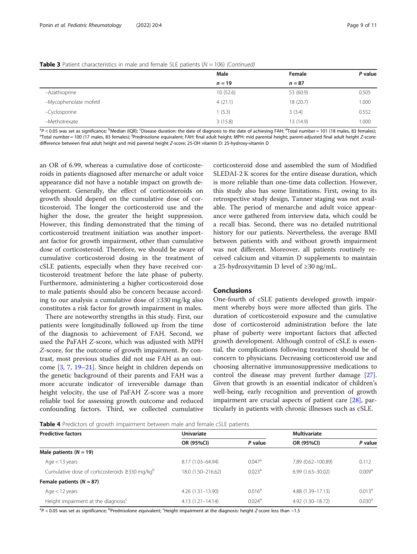|                        | Male     | Female    | P value |
|------------------------|----------|-----------|---------|
|                        | $n = 19$ | $n = 87$  |         |
| -Azathioprine          | 10(52.6) | 53 (60.9) | 0.505   |
| -Mycophenolate mofetil | 4(21.1)  | 18 (20.7) | 1.000   |
| -Cyclosporine          | 1(5.3)   | 3(3.4)    | 0.552   |
| -Methotrexate          | 3(15.8)  | 13 (14.9) | 1.000   |

<span id="page-8-0"></span>

|  | <b>Table 3</b> Patient characteristics in male and female SLE patients ( $N = 106$ ) (Continued) |  |  |  |
|--|--------------------------------------------------------------------------------------------------|--|--|--|
|  |                                                                                                  |  |  |  |

<sup>a</sup>P < 0.05 was set as significance; <sup>b</sup>Median (IQR); 'Disease duration: the date of diagnosis to the date of achieving FAH; <sup>d</sup>Total number = 101 (18 males, 83 females);<br><sup>e</sup>Total number = 100 (17 males, 83 females); <sup>f</sup>Pr Total number = 100 (17 males, 83 females); <sup>f</sup>Prednisolone equivalent; FAH: final adult height; MPH: mid parental height; parent-adjusted final adult height Z-score: difference between final adult height and mid parental height Z-score; 25-OH vitamin D: 25-hydroxy-vitamin D

an OR of 6.99, whereas a cumulative dose of corticosteroids in patients diagnosed after menarche or adult voice appearance did not have a notable impact on growth development. Generally, the effect of corticosteroids on growth should depend on the cumulative dose of corticosteroid. The longer the corticosteroid use and the higher the dose, the greater the height suppression. However, this finding demonstrated that the timing of corticosteroid treatment initiation was another important factor for growth impairment, other than cumulative dose of corticosteroid. Therefore, we should be aware of cumulative corticosteroid dosing in the treatment of cSLE patients, especially when they have received corticosteroid treatment before the late phase of puberty. Furthermore, administering a higher corticosteroid dose to male patients should also be concern because according to our analysis a cumulative dose of ≥330 mg/kg also constitutes a risk factor for growth impairment in males.

There are noteworthy strengths in this study. First, our patients were longitudinally followed up from the time of the diagnosis to achievement of FAH. Second, we used the PaFAH Z-score, which was adjusted with MPH Z-score, for the outcome of growth impairment. By contrast, most previous studies did not use FAH as an outcome [\[3](#page-9-0), [7,](#page-9-0) [19](#page-9-0)–[21\]](#page-9-0). Since height in children depends on the genetic background of their parents and FAH was a more accurate indicator of irreversible damage than height velocity, the use of PaFAH Z-score was a more reliable tool for assessing growth outcome and reduced confounding factors. Third, we collected cumulative

corticosteroid dose and assembled the sum of Modified SLEDAI-2 K scores for the entire disease duration, which is more reliable than one-time data collection. However, this study also has some limitations. First, owing to its retrospective study design, Tanner staging was not available. The period of menarche and adult voice appearance were gathered from interview data, which could be a recall bias. Second, there was no detailed nutritional history for our patients. Nevertheless, the average BMI between patients with and without growth impairment was not different. Moreover, all patients routinely received calcium and vitamin D supplements to maintain a 25-hydroxyvitamin D level of ≥30 ng/mL.

#### Conclusions

One-fourth of cSLE patients developed growth impairment whereby boys were more affected than girls. The duration of corticosteroid exposure and the cumulative dose of corticosteroid administration before the late phase of puberty were important factors that affected growth development. Although control of cSLE is essential, the complications following treatment should be of concern to physicians. Decreasing corticosteroid use and choosing alternative immunosuppressive medications to control the disease may prevent further damage [\[27](#page-10-0)]. Given that growth is an essential indicator of children's well-being, early recognition and prevention of growth impairment are crucial aspects of patient care [[28\]](#page-10-0), particularly in patients with chronic illnesses such as cSLE.

Table 4 Predictors of growth impairment between male and female cSLE patients

| <b>Predictive factors</b>                                  | <b>Univariate</b>    |                      | <b>Multivariate</b>  |                    |  |
|------------------------------------------------------------|----------------------|----------------------|----------------------|--------------------|--|
|                                                            | OR (95%CI)           | P value              | OR (95%CI)           | P value            |  |
| Male patients $(N = 19)$                                   |                      |                      |                      |                    |  |
| Age $<$ 13 years                                           | 8.17 (1.03-64.94)    | $0.047$ <sup>a</sup> | 7.89 (0.62-100.89)   | 0.112              |  |
| Cumulative dose of corticosteroids ≥330 mg/kg <sup>b</sup> | 18.0 (1.50-216.62)   | 0.023 <sup>a</sup>   | $6.99(1.63 - 30.02)$ | 0.009 <sup>a</sup> |  |
| Female patients $(N = 87)$                                 |                      |                      |                      |                    |  |
| Age $<$ 12 years                                           | $4.26(1.31-13.90)$   | $0.016^a$            | 4.88 (1.39-17.13)    | 0.013 <sup>a</sup> |  |
| Height impairment at the diagnosis <sup>c</sup>            | $4.13(1.21 - 14.14)$ | 0.024 <sup>a</sup>   | 4.92 (1.30-18.72)    | 0.030 <sup>a</sup> |  |

<sup>a</sup>P < 0.05 was set as significance; <sup>b</sup>Prednisolone equivalent; <sup>c</sup>Height impairment at the diagnosis: height Z-score less than −1.5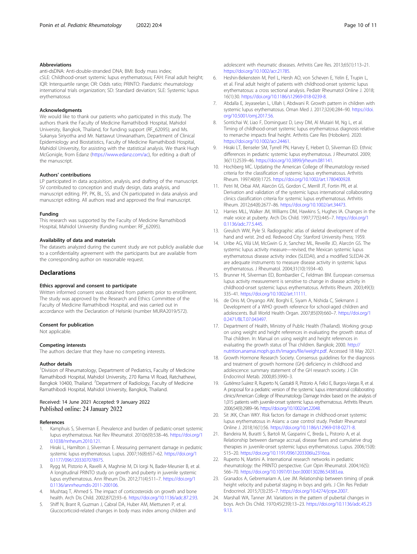#### <span id="page-9-0"></span>Abbreviations

anti-dsDNA: Anti-double-stranded DNA; BMI: Body mass index; cSLE: Childhood-onset systemic lupus erythematosus; FAH: Final adult height; IQR: Interquartile range; OR: Odds ratio; PRINTO: Paediatric rheumatology international trials organization; SD: Standard deviation; SLE: Systemic lupus erythematosus

#### Acknowledgments

We would like to thank our patients who participated in this study. The authors thank the Faculty of Medicine Ramathibodi Hospital, Mahidol University, Bangkok, Thailand, for funding support (RF\_62095); and Ms. Sukanya Siriyotha and Mr. Nattawut Unwanatham, Department of Clinical Epidemiology and Biostatistics, Faculty of Medicine Ramathibodi Hospital, Mahidol University, for assisting with the statistical analysis. We thank Hugh McGonigle, from Edanz [\(https://www.edanz.com/ac](https://www.edanz.com/ac)), for editing a draft of the manuscript.

#### Authors' contributions

LP participated in data acquisition, analysis, and drafting of the manuscript. SV contributed to conception and study design, data analysis, and manuscript editing. PP, PK, BL, SS, and CN participated in data analysis and manuscript editing. All authors read and approved the final manuscript.

#### Funding

This research was supported by the Faculty of Medicine Ramathibodi Hospital, Mahidol University (funding number: RF\_62095).

#### Availability of data and materials

The datasets analyzed during the current study are not publicly available due to a confidentiality agreement with the participants but are available from the corresponding author on reasonable request.

#### **Declarations**

#### Ethics approval and consent to participate

Written informed consent was obtained from patients prior to enrollment. The study was approved by the Research and Ethics Committee of the Faculty of Medicine Ramathibodi Hospital, and was carried out in accordance with the Declaration of Helsinki (number MURA2019/572).

#### Consent for publication

Not applicable.

#### Competing interests

The authors declare that they have no competing interests.

#### Author details

<sup>1</sup> Division of Rheumatology, Department of Pediatrics, Faculty of Medicine Ramathibodi Hospital, Mahidol University, 270 Rama VI Road, Ratchathewi, Bangkok 10400, Thailand. <sup>2</sup>Department of Radiology, Faculty of Medicine Ramathibodi Hospital, Mahidol University, Bangkok, Thailand.

#### Received: 14 June 2021 Accepted: 9 January 2022 Published online: 24 January 2022

#### References

- 1. Kamphuis S, Silverman E. Prevalence and burden of pediatric-onset systemic lupus erythematosus. Nat Rev Rheumatol. 2010;6(9):538–46. [https://doi.org/1](https://doi.org/10.1038/nrrheum.2010.121) [0.1038/nrrheum.2010.121](https://doi.org/10.1038/nrrheum.2010.121).
- 2. Hiraki L, Hamilton J, Silverman E. Measuring permanent damage in pediatric systemic lupus erythematosus. Lupus. 2007;16(8):657–62. [https://doi.org/1](https://doi.org/10.1177/0961203307078975) [0.1177/0961203307078975](https://doi.org/10.1177/0961203307078975).
- 3. Rygg M, Pistorio A, Ravelli A, Maghnie M, Di Iorgi N, Bader-Meunier B, et al. A longitudinal PRINTO study on growth and puberty in juvenile systemic lupus erythematosus. Ann Rheum Dis. 2012;71(4):511–7. [https://doi.org/1](https://doi.org/10.1136/annrheumdis-2011-200106) [0.1136/annrheumdis-2011-200106](https://doi.org/10.1136/annrheumdis-2011-200106).
- Mushtaq T, Ahmed S. The impact of corticosteroids on growth and bone health. Arch Dis Child. 2002;87(2):93–6. [https://doi.org/10.1136/adc.87.2.93.](https://doi.org/10.1136/adc.87.2.93)
- Shiff N, Brant R, Guzman J, Cabral DA, Huber AM, Miettunen P, et al. Glucocorticoid-related changes in body mass index among children and
- 6. Heshin-Bekenstein M, Perl L, Hersh AO, von Scheven E, Yelin E, Trupin L, et al. Final adult height of patients with childhood-onset systemic lupus erythematosus: a cross sectional analysis. Pediatr Rheumatol Online J. 2018; 16(1):30. <https://doi.org/10.1186/s12969-018-0239-8>.
- 7. Abdalla E, Jeyaseelan L, Ullah I, Abdwani R. Growth pattern in children with systemic lupus erythematosus. Oman Med J. 2017;32(4):284–90. [https://doi.](https://doi.org/10.5001/omj.2017.56) [org/10.5001/omj.2017.56.](https://doi.org/10.5001/omj.2017.56)
- 8. Sontichai W, Liao F, Dominguez D, Levy DM, Al Mutairi M, Ng L, et al. Timing of childhood-onset systemic lupus erythematosus diagnosis relative to menarche impacts final height. Arthritis Care Res (Hoboken). 2020. [https://doi.org/10.1002/acr.24461.](https://doi.org/10.1002/acr.24461)
- 9. Hiraki LT, Benseler SM, Tyrrell PN, Harvey E, Hebert D, Silverman ED. Ethnic differences in pediatric systemic lupus erythematosus. J Rheumatol. 2009; 36(11):2539–46. [https://doi.org/10.3899/jrheum.081141.](https://doi.org/10.3899/jrheum.081141)
- 10. Hochberg MC. Updating the American College of Rheumatology revised criteria for the classification of systemic lupus erythematosus. Arthritis Rheum. 1997;40(9):1725. <https://doi.org/10.1002/art.1780400928>.
- 11. Petri M, Orbai AM, Alarcón GS, Gordon C, Merrill JT, Fortin PR, et al. Derivation and validation of the systemic lupus international collaborating clinics classification criteria for systemic lupus erythematosus. Arthritis Rheum. 2012;64(8):2677–86. [https://doi.org/10.1002/art.34473.](https://doi.org/10.1002/art.34473)
- 12. Harries MLL, Walker JM, Williams DM, Hawkins S, Hughes IA. Changes in the male voice at puberty. Arch Dis Child. 1997;77(5):445–7. [https://doi.org/1](https://doi.org/10.1136/adc.77.5.445) [0.1136/adc.77.5.445.](https://doi.org/10.1136/adc.77.5.445)
- 13. Greulich WW, Pyle SI. Radiographic atlas of skeletal development of the hand and wrist. 2nd ed. Redwood City: Stanford University Press; 1959.
- 14. Uribe AG, Vilá LM, McGwin G Jr, Sanchez ML, Reveille JD, Alarcón GS. The systemic lupus activity measure—revised, the Mexican systemic lupus erythematosus disease activity index (SLEDAI), and a modified SLEDAI-2K are adequate instruments to measure disease activity in systemic lupus erythematosus. J Rheumatol. 2004;31(10):1934–40.
- 15. Brunner HI, Silverman ED, Bombardier C, Feldman BM. European consensus lupus activity measurement is sensitive to change in disease activity in childhood-onset systemic lupus erythematosus. Arthritis Rheum. 2003;49(3): 335–41. [https://doi.org/10.1002/art.11111.](https://doi.org/10.1002/art.11111)
- 16. de Onis M, Onyango AW, Borghi E, Siyam A, Nishida C, Siekmann J. Development of a WHO growth reference for school-aged children and adolescents. Bull World Health Organ. 2007;85(09):660–7. [https://doi.org/1](https://doi.org/10.2471/BLT.07.043497) [0.2471/BLT.07.043497](https://doi.org/10.2471/BLT.07.043497).
- 17. Department of Health, Ministry of Public Health (Thailand). Working group on using weight and height references in evaluating the growth status of Thai children. In: Manual on using weight and height references in evaluating the growth status of Thai children. Bangkok; 2000. [http://](http://nutrition.anamai.moph.go.th/images/file/weight.pdf) [nutrition.anamai.moph.go.th/images/file/weight.pdf.](http://nutrition.anamai.moph.go.th/images/file/weight.pdf) Accessed 18 May 2021.
- 18. Growth Hormone Research Society. Consensus guidelines for the diagnosis and treatment of growth hormone (GH) deficiency in childhood and adolescence: summary statement of the GH research society. J Clin Endocrinol Metab. 2000;85:3990–3.
- 19. Gutiérrez-Suárez R, Ruperto N, Gastaldi R, Pistorio A, Felici E, Burgos-Vargas R, et al. A proposal for a pediatric version of the systemic lupus international collaborating clinics/American College of Rheumatology Damage Index based on the analysis of 1,015 patients with juvenile-onset systemic lupus erythematosus. Arthritis Rheum. 2006;54(9):2989–96. [https://doi.org/10.1002/art.22048.](https://doi.org/10.1002/art.22048)
- 20. Sit JKK, Chan WKY. Risk factors for damage in childhood-onset systemic lupus erythematosus in Asians: a case control study. Pediatr Rheumatol Online J. 2018;16(1):56. [https://doi.org/10.1186/s12969-018-0271-8.](https://doi.org/10.1186/s12969-018-0271-8)
- 21. Bandeira M, Buratti S, Bartoli M, Gasparini C, Breda L, Pistorio A, et al. Relationship between damage accrual, disease flares and cumulative drug therapies in juvenile-onset systemic lupus erythematosus. Lupus. 2006;15(8): 515–20. [https://doi.org/10.1191/0961203306lu2316oa.](https://doi.org/10.1191/0961203306lu2316oa)
- 22. Ruperto N, Martini A. International research networks in pediatric rheumatology: the PRINTO perspective. Curr Opin Rheumatol. 2004;16(5): 566–70. [https://doi.org/10.1097/01.bor.0000130286.54383.ea.](https://doi.org/10.1097/01.bor.0000130286.54383.ea)
- 23. Granados A, Gebremariam A, Lee JM. Relationship between timing of peak height velocity and pubertal staging in boys and girls. J Clin Res Pediatr Endocrinol. 2015;7(3):235–7. [https://doi.org/10.4274/jcrpe.2007.](https://doi.org/10.4274/jcrpe.2007)
- 24. Marshall WA, Tanner JM. Variations in the pattern of pubertal changes in boys. Arch Dis Child. 1970;45(239):13–23. [https://doi.org/10.1136/adc.45.23](https://doi.org/10.1136/adc.45.239.13) [9.13](https://doi.org/10.1136/adc.45.239.13).